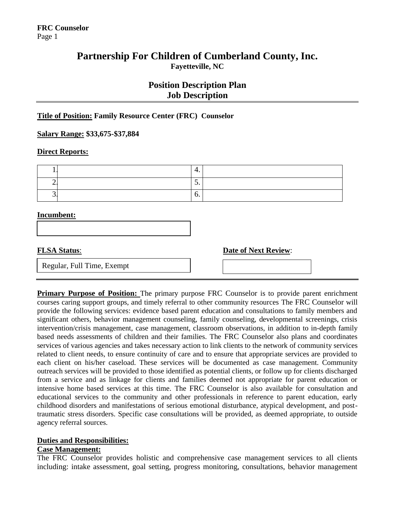## **Partnership For Children of Cumberland County, Inc. Fayetteville, NC**

## **Position Description Plan Job Description**

#### **Title of Position: Family Resource Center (FRC) Counselor**

**Salary Range: \$33,675-\$37,884**

#### **Direct Reports:**

|  | . . |  |
|--|-----|--|
|  | ູ   |  |
|  | v.  |  |

#### **Incumbent:**

**FLSA Status: Date of Next Review:** 

Regular, Full Time, Exempt

**Primary Purpose of Position:** The primary purpose FRC Counselor is to provide parent enrichment courses caring support groups, and timely referral to other community resources The FRC Counselor will provide the following services: evidence based parent education and consultations to family members and significant others, behavior management counseling, family counseling, developmental screenings, crisis intervention/crisis management, case management, classroom observations, in addition to in-depth family based needs assessments of children and their families. The FRC Counselor also plans and coordinates services of various agencies and takes necessary action to link clients to the network of community services related to client needs, to ensure continuity of care and to ensure that appropriate services are provided to each client on his/her caseload. These services will be documented as case management. Community outreach services will be provided to those identified as potential clients, or follow up for clients discharged from a service and as linkage for clients and families deemed not appropriate for parent education or intensive home based services at this time. The FRC Counselor is also available for consultation and educational services to the community and other professionals in reference to parent education, early childhood disorders and manifestations of serious emotional disturbance, atypical development, and posttraumatic stress disorders. Specific case consultations will be provided, as deemed appropriate, to outside agency referral sources.

#### **Duties and Responsibilities:**

#### **Case Management:**

The FRC Counselor provides holistic and comprehensive case management services to all clients including: intake assessment, goal setting, progress monitoring, consultations, behavior management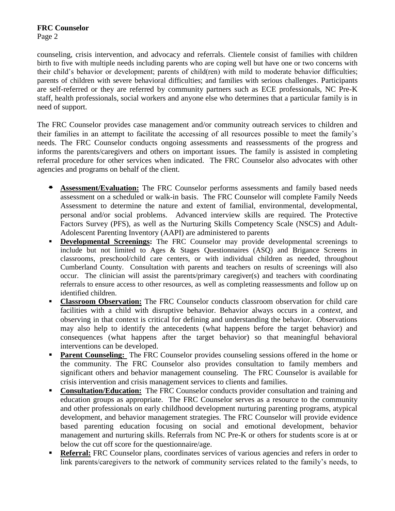#### **FRC Counselor** Page 2

counseling, crisis intervention, and advocacy and referrals. Clientele consist of families with children birth to five with multiple needs including parents who are coping well but have one or two concerns with their child's behavior or development; parents of child(ren) with mild to moderate behavior difficulties; parents of children with severe behavioral difficulties; and families with serious challenges. Participants are self-referred or they are referred by community partners such as ECE professionals, NC Pre-K staff, health professionals, social workers and anyone else who determines that a particular family is in need of support.

The FRC Counselor provides case management and/or community outreach services to children and their families in an attempt to facilitate the accessing of all resources possible to meet the family's needs. The FRC Counselor conducts ongoing assessments and reassessments of the progress and informs the parents/caregivers and others on important issues. The family is assisted in completing referral procedure for other services when indicated. The FRC Counselor also advocates with other agencies and programs on behalf of the client.

- **Assessment/Evaluation:** The FRC Counselor performs assessments and family based needs assessment on a scheduled or walk-in basis. The FRC Counselor will complete Family Needs Assessment to determine the nature and extent of familial, environmental, developmental, personal and/or social problems. Advanced interview skills are required. The Protective Factors Survey (PFS), as well as the Nurturing Skills Competency Scale (NSCS) and Adult-Adolescent Parenting Inventory (AAPI) are administered to parents
- **Developmental Screenings:** The FRC Counselor may provide developmental screenings to include but not limited to Ages & Stages Questionnaires (ASQ) and Brigance Screens in classrooms, preschool/child care centers, or with individual children as needed, throughout Cumberland County. Consultation with parents and teachers on results of screenings will also occur. The clinician will assist the parents/primary caregiver(s) and teachers with coordinating referrals to ensure access to other resources, as well as completing reassessments and follow up on identified children.
- **Classroom Observation:** The FRC Counselor conducts classroom observation for child care facilities with a child with disruptive behavior. Behavior always occurs in a *context*, and observing in that context is critical for defining and understanding the behavior. Observations may also help to identify the antecedents (what happens before the target behavior) and consequences (what happens after the target behavior) so that meaningful behavioral interventions can be developed.
- **Parent Counseling:** The FRC Counselor provides counseling sessions offered in the home or the community. The FRC Counselor also provides consultation to family members and significant others and behavior management counseling. The FRC Counselor is available for crisis intervention and crisis management services to clients and families.
- **Consultation/Education:** The FRC Counselor conducts provider consultation and training and education groups as appropriate. The FRC Counselor serves as a resource to the community and other professionals on early childhood development nurturing parenting programs, atypical development, and behavior management strategies. The FRC Counselor will provide evidence based parenting education focusing on social and emotional development, behavior management and nurturing skills. Referrals from NC Pre-K or others for students score is at or below the cut off score for the questionnaire/age.
- **Referral:** FRC Counselor plans, coordinates services of various agencies and refers in order to link parents/caregivers to the network of community services related to the family's needs, to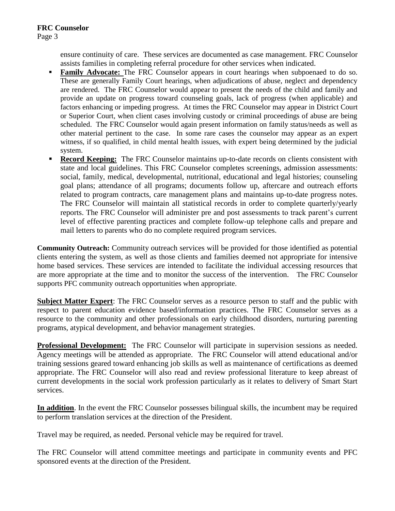ensure continuity of care. These services are documented as case management. FRC Counselor assists families in completing referral procedure for other services when indicated.

- **Family Advocate:** The FRC Counselor appears in court hearings when subpoenaed to do so. These are generally Family Court hearings, when adjudications of abuse, neglect and dependency are rendered. The FRC Counselor would appear to present the needs of the child and family and provide an update on progress toward counseling goals, lack of progress (when applicable) and factors enhancing or impeding progress. At times the FRC Counselor may appear in District Court or Superior Court, when client cases involving custody or criminal proceedings of abuse are being scheduled. The FRC Counselor would again present information on family status/needs as well as other material pertinent to the case. In some rare cases the counselor may appear as an expert witness, if so qualified, in child mental health issues, with expert being determined by the judicial system.
- **Record Keeping:** The FRC Counselor maintains up-to-date records on clients consistent with state and local guidelines. This FRC Counselor completes screenings, admission assessments: social, family, medical, developmental, nutritional, educational and legal histories; counseling goal plans; attendance of all programs; documents follow up, aftercare and outreach efforts related to program contracts, care management plans and maintains up-to-date progress notes. The FRC Counselor will maintain all statistical records in order to complete quarterly/yearly reports. The FRC Counselor will administer pre and post assessments to track parent's current level of effective parenting practices and complete follow-up telephone calls and prepare and mail letters to parents who do no complete required program services.

**Community Outreach:** Community outreach services will be provided for those identified as potential clients entering the system, as well as those clients and families deemed not appropriate for intensive home based services. These services are intended to facilitate the individual accessing resources that are more appropriate at the time and to monitor the success of the intervention. The FRC Counselor supports PFC community outreach opportunities when appropriate.

**Subject Matter Expert**: The FRC Counselor serves as a resource person to staff and the public with respect to parent education evidence based/information practices. The FRC Counselor serves as a resource to the community and other professionals on early childhood disorders, nurturing parenting programs, atypical development, and behavior management strategies.

**Professional Development:** The FRC Counselor will participate in supervision sessions as needed. Agency meetings will be attended as appropriate. The FRC Counselor will attend educational and/or training sessions geared toward enhancing job skills as well as maintenance of certifications as deemed appropriate. The FRC Counselor will also read and review professional literature to keep abreast of current developments in the social work profession particularly as it relates to delivery of Smart Start services.

**In addition**. In the event the FRC Counselor possesses bilingual skills, the incumbent may be required to perform translation services at the direction of the President.

Travel may be required, as needed. Personal vehicle may be required for travel.

The FRC Counselor will attend committee meetings and participate in community events and PFC sponsored events at the direction of the President.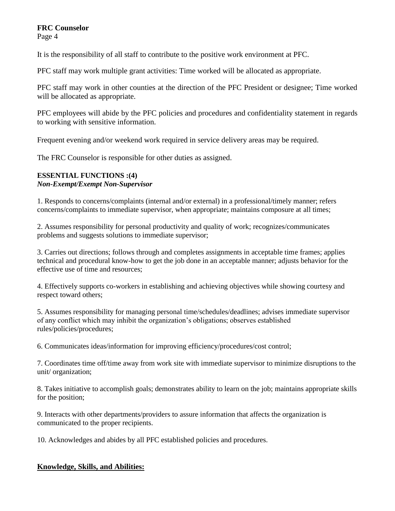# **FRC Counselor**

Page 4

It is the responsibility of all staff to contribute to the positive work environment at PFC.

PFC staff may work multiple grant activities: Time worked will be allocated as appropriate.

PFC staff may work in other counties at the direction of the PFC President or designee; Time worked will be allocated as appropriate.

PFC employees will abide by the PFC policies and procedures and confidentiality statement in regards to working with sensitive information.

Frequent evening and/or weekend work required in service delivery areas may be required.

The FRC Counselor is responsible for other duties as assigned.

### **ESSENTIAL FUNCTIONS :(4)**  *Non-Exempt/Exempt Non-Supervisor*

1. Responds to concerns/complaints (internal and/or external) in a professional/timely manner; refers concerns/complaints to immediate supervisor, when appropriate; maintains composure at all times;

2. Assumes responsibility for personal productivity and quality of work; recognizes/communicates problems and suggests solutions to immediate supervisor;

3. Carries out directions; follows through and completes assignments in acceptable time frames; applies technical and procedural know-how to get the job done in an acceptable manner; adjusts behavior for the effective use of time and resources;

4. Effectively supports co-workers in establishing and achieving objectives while showing courtesy and respect toward others;

5. Assumes responsibility for managing personal time/schedules/deadlines; advises immediate supervisor of any conflict which may inhibit the organization's obligations; observes established rules/policies/procedures;

6. Communicates ideas/information for improving efficiency/procedures/cost control;

7. Coordinates time off/time away from work site with immediate supervisor to minimize disruptions to the unit/ organization;

8. Takes initiative to accomplish goals; demonstrates ability to learn on the job; maintains appropriate skills for the position;

9. Interacts with other departments/providers to assure information that affects the organization is communicated to the proper recipients.

10. Acknowledges and abides by all PFC established policies and procedures.

### **Knowledge, Skills, and Abilities:**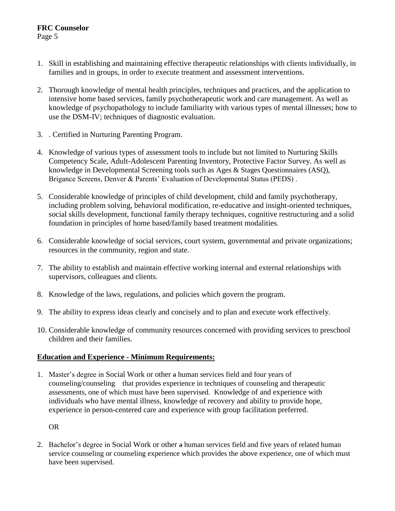# **FRC Counselor**

Page 5

- 1. Skill in establishing and maintaining effective therapeutic relationships with clients individually, in families and in groups, in order to execute treatment and assessment interventions.
- 2. Thorough knowledge of mental health principles, techniques and practices, and the application to intensive home based services, family psychotherapeutic work and care management. As well as knowledge of psychopathology to include familiarity with various types of mental illnesses; how to use the DSM-IV; techniques of diagnostic evaluation.
- 3. . Certified in Nurturing Parenting Program.
- 4. Knowledge of various types of assessment tools to include but not limited to Nurturing Skills Competency Scale, Adult-Adolescent Parenting Inventory, Protective Factor Survey. As well as knowledge in Developmental Screening tools such as Ages & Stages Questionnaires (ASQ), Brigance Screens, Denver & Parents' Evaluation of Developmental Status (PEDS) .
- 5. Considerable knowledge of principles of child development, child and family psychotherapy, including problem solving, behavioral modification, re-educative and insight-oriented techniques, social skills development, functional family therapy techniques, cognitive restructuring and a solid foundation in principles of home based/family based treatment modalities.
- 6. Considerable knowledge of social services, court system, governmental and private organizations; resources in the community, region and state.
- 7. The ability to establish and maintain effective working internal and external relationships with supervisors, colleagues and clients.
- 8. Knowledge of the laws, regulations, and policies which govern the program.
- 9. The ability to express ideas clearly and concisely and to plan and execute work effectively.
- 10. Considerable knowledge of community resources concerned with providing services to preschool children and their families.

### **Education and Experience - Minimum Requirements:**

1. Master's degree in Social Work or other a human services field and four years of counseling/counseling that provides experience in techniques of counseling and therapeutic assessments, one of which must have been supervised. Knowledge of and experience with individuals who have mental illness, knowledge of recovery and ability to provide hope, experience in person-centered care and experience with group facilitation preferred.

OR

2. Bachelor's degree in Social Work or other a human services field and five years of related human service counseling or counseling experience which provides the above experience, one of which must have been supervised.